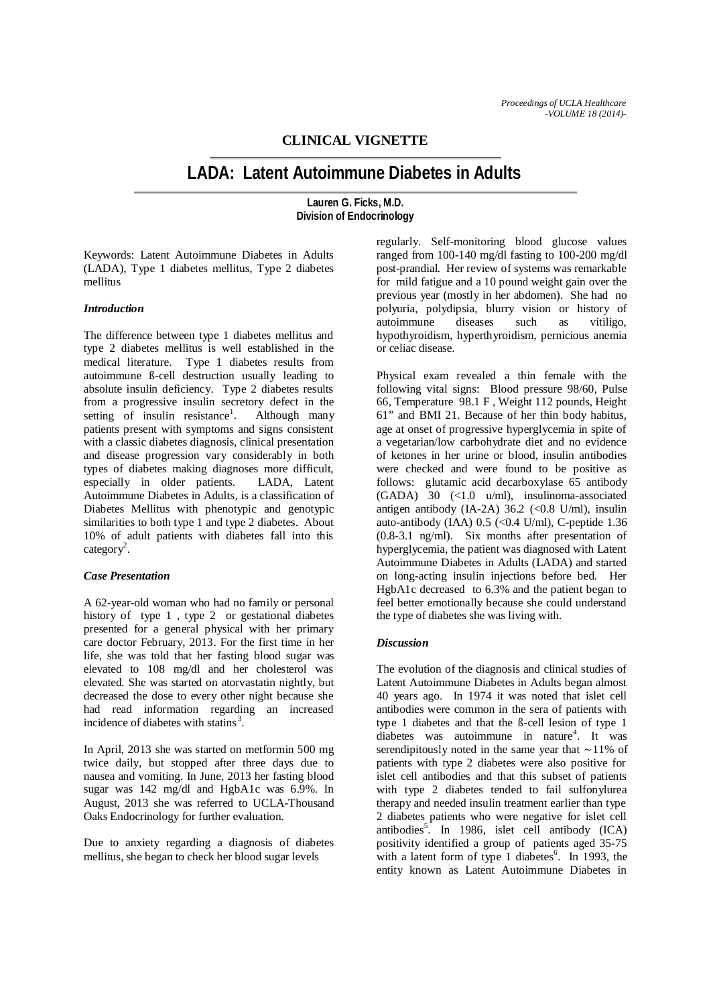# **CLINICAL VIGNETTE**

# **LADA: Latent Autoimmune Diabetes in Adults**

**Lauren G. Ficks, M.D. Division of Endocrinology**

Keywords: Latent Autoimmune Diabetes in Adults (LADA), Type 1 diabetes mellitus, Type 2 diabetes mellitus

#### *Introduction*

The difference between type 1 diabetes mellitus and type 2 diabetes mellitus is well established in the medical literature. Type 1 diabetes results from autoimmune ß-cell destruction usually leading to absolute insulin deficiency. Type 2 diabetes results from a progressive insulin secretory defect in the setting of insulin resistance<sup>1</sup>. . Although many patients present with symptoms and signs consistent with a classic diabetes diagnosis, clinical presentation and disease progression vary considerably in both types of diabetes making diagnoses more difficult, especially in older patients. LADA, Latent Autoimmune Diabetes in Adults, is a classification of Diabetes Mellitus with phenotypic and genotypic similarities to both type 1 and type 2 diabetes. About 10% of adult patients with diabetes fall into this  $category<sup>2</sup>$ .

#### *Case Presentation*

A 62-year-old woman who had no family or personal history of type 1 , type 2 or gestational diabetes presented for a general physical with her primary care doctor February, 2013. For the first time in her life, she was told that her fasting blood sugar was elevated to 108 mg/dl and her cholesterol was elevated. She was started on atorvastatin nightly, but decreased the dose to every other night because she had read information regarding an increased incidence of diabetes with statins<sup>3</sup>.

In April, 2013 she was started on metformin 500 mg twice daily, but stopped after three days due to nausea and vomiting. In June, 2013 her fasting blood sugar was 142 mg/dl and HgbA1c was 6.9%. In August, 2013 she was referred to UCLA-Thousand Oaks Endocrinology for further evaluation.

Due to anxiety regarding a diagnosis of diabetes mellitus, she began to check her blood sugar levels

regularly. Self-monitoring blood glucose values ranged from 100-140 mg/dl fasting to 100-200 mg/dl post-prandial. Her review of systems was remarkable for mild fatigue and a 10 pound weight gain over the previous year (mostly in her abdomen). She had no polyuria, polydipsia, blurry vision or history of autoimmune diseases such as vitiligo, hypothyroidism, hyperthyroidism, pernicious anemia or celiac disease.

Physical exam revealed a thin female with the following vital signs: Blood pressure 98/60, Pulse 66, Temperature 98.1 F , Weight 112 pounds, Height 61" and BMI 21. Because of her thin body habitus, age at onset of progressive hyperglycemia in spite of a vegetarian/low carbohydrate diet and no evidence of ketones in her urine or blood, insulin antibodies were checked and were found to be positive as follows: glutamic acid decarboxylase 65 antibody (GADA) 30 (<1.0 u/ml), insulinoma-associated antigen antibody (IA-2A)  $36.2$  (<0.8 U/ml), insulin auto-antibody (IAA)  $0.5$  (< $0.4$  U/ml), C-peptide 1.36 (0.8-3.1 ng/ml). Six months after presentation of hyperglycemia, the patient was diagnosed with Latent Autoimmune Diabetes in Adults (LADA) and started on long-acting insulin injections before bed. Her HgbA1c decreased to 6.3% and the patient began to feel better emotionally because she could understand the type of diabetes she was living with.

## *Discussion*

The evolution of the diagnosis and clinical studies of Latent Autoimmune Diabetes in Adults began almost 40 years ago. In 1974 it was noted that islet cell antibodies were common in the sera of patients with type 1 diabetes and that the ß-cell lesion of type 1 diabetes was autoimmune in nature<sup>4</sup>. It was serendipitously noted in the same year that ∼11% of patients with type 2 diabetes were also positive for islet cell antibodies and that this subset of patients with type 2 diabetes tended to fail sulfonylurea therapy and needed insulin treatment earlier than type 2 diabetes patients who were negative for islet cell antibodies<sup>5</sup>. In 1986, islet cell antibody  $(ICA)$ positivity identified a group of patients aged 35-75 with a latent form of type  $1$  diabetes<sup>6</sup>. In 1993, the entity known as Latent Autoimmune Diabetes in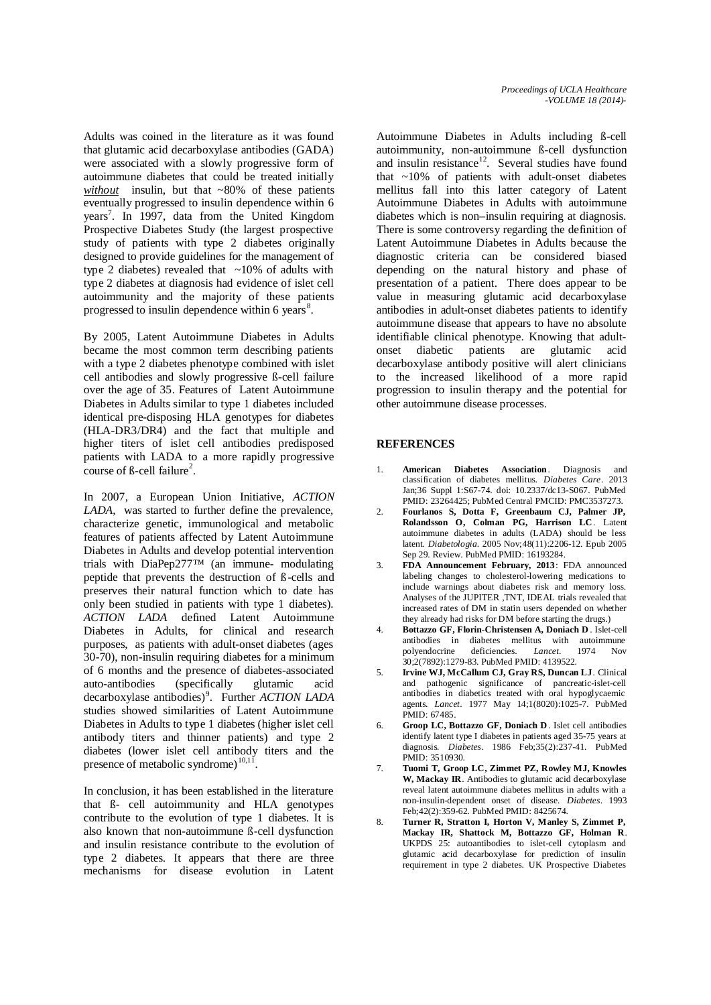Adults was coined in the literature as it was found that glutamic acid decarboxylase antibodies (GADA) were associated with a slowly progressive form of autoimmune diabetes that could be treated initially *without* insulin, but that ~80% of these patients eventually progressed to insulin dependence within 6 years<sup>7</sup>. In 1997, data from the United Kingdom Prospective Diabetes Study (the largest prospective study of patients with type 2 diabetes originally designed to provide guidelines for the management of type 2 diabetes) revealed that  $\sim$ 10% of adults with type 2 diabetes at diagnosis had evidence of islet cell autoimmunity and the majority of these patients progressed to insulin dependence within 6 years<sup>8</sup>.

By 2005, Latent Autoimmune Diabetes in Adults became the most common term describing patients with a type 2 diabetes phenotype combined with islet cell antibodies and slowly progressive ß-cell failure over the age of 35. Features of Latent Autoimmune Diabetes in Adults similar to type 1 diabetes included identical pre-disposing HLA genotypes for diabetes (HLA-DR3/DR4) and the fact that multiple and higher titers of islet cell antibodies predisposed patients with LADA to a more rapidly progressive course of  $\beta$ -cell failure<sup>2</sup>.

In 2007, a European Union Initiative, *ACTION LADA*, was started to further define the prevalence, characterize genetic, immunological and metabolic features of patients affected by Latent Autoimmune Diabetes in Adults and develop potential intervention trials with DiaPep277™ (an immune- modulating peptide that prevents the destruction of ß*-*cells and preserves their natural function which to date has only been studied in patients with type 1 diabetes). *ACTION LADA* defined Latent Autoimmune Diabetes in Adults, for clinical and research purposes, as patients with adult-onset diabetes (ages 30-70), non-insulin requiring diabetes for a minimum of 6 months and the presence of diabetes-associated auto-antibodies (specifically glutamic acid decarboxylase antibodies)<sup>9</sup> . Further *ACTION LADA* studies showed similarities of Latent Autoimmune Diabetes in Adults to type 1 diabetes (higher islet cell antibody titers and thinner patients) and type 2 diabetes (lower islet cell antibody titers and the presence of metabolic syndrome) $10,11$ 

In conclusion, it has been established in the literature that ß- cell autoimmunity and HLA genotypes contribute to the evolution of type 1 diabetes. It is also known that non-autoimmune ß-cell dysfunction and insulin resistance contribute to the evolution of type 2 diabetes. It appears that there are three mechanisms for disease evolution in Latent

Autoimmune Diabetes in Adults including ß-cell autoimmunity, non-autoimmune ß-cell dysfunction and insulin resistance $12$ . Several studies have found that ~10% of patients with adult-onset diabetes mellitus fall into this latter category of Latent Autoimmune Diabetes in Adults with autoimmune diabetes which is non–insulin requiring at diagnosis. There is some controversy regarding the definition of Latent Autoimmune Diabetes in Adults because the diagnostic criteria can be considered biased depending on the natural history and phase of presentation of a patient. There does appear to be value in measuring glutamic acid decarboxylase antibodies in adult-onset diabetes patients to identify autoimmune disease that appears to have no absolute identifiable clinical phenotype. Knowing that adultonset diabetic patients are glutamic acid decarboxylase antibody positive will alert clinicians to the increased likelihood of a more rapid progression to insulin therapy and the potential for other autoimmune disease processes.

## **REFERENCES**

- 1. **American Diabetes Association**. Diagnosis and classification of diabetes mellitus. *Diabetes Care*. 2013 Jan;36 Suppl 1:S67-74. doi: 10.2337/dc13-S067. PubMed PMID: 23264425; PubMed Central PMCID: PMC3537273.
- 2. **Fourlanos S, Dotta F, Greenbaum CJ, Palmer JP, Rolandsson O, Colman PG, Harrison LC**. Latent autoimmune diabetes in adults (LADA) should be less latent. *Diabetologia*. 2005 Nov;48(11):2206-12. Epub 2005 Sep 29. Review. PubMed PMID: 16193284.
- 3. **FDA Announcement February, 2013**: FDA announced labeling changes to cholesterol-lowering medications to include warnings about diabetes risk and memory loss. Analyses of the JUPITER ,TNT, IDEAL trials revealed that increased rates of DM in statin users depended on whether they already had risks for DM before starting the drugs.)
- 4. **Bottazzo GF, Florin-Christensen A, Doniach D** . Islet-cell antibodies in diabetes mellitus with autoimmune<br>nolvendocrine deficiencies *Lancet* 1974 Nov polyendocrine deficiencies. *Lancet*. 1974 Nov 30;2(7892):1279-83. PubMed PMID: 4139522.
- 5. **Irvine WJ, McCallum CJ, Gray RS, Duncan LJ**. Clinical and pathogenic significance of pancreatic-islet-cell antibodies in diabetics treated with oral hypoglycaemic agents. *Lancet*. 1977 May 14;1(8020):1025-7. PubMed PMID: 67485.
- 6. **Groop LC, Bottazzo GF, Doniach D** . Islet cell antibodies identify latent type I diabetes in patients aged 35-75 years at diagnosis. *Diabetes*. 1986 Feb;35(2):237-41. PubMed PMID: 3510930.
- 7. **Tuomi T, Groop LC, Zimmet PZ, Rowley MJ, Knowles W, Mackay IR**. Antibodies to glutamic acid decarboxylase reveal latent autoimmune diabetes mellitus in adults with a non-insulin-dependent onset of disease. *Diabetes*. 1993 Feb;42(2):359-62. PubMed PMID: 8425674.
- 8. **Turner R, Stratton I, Horton V, Manley S, Zimmet P, Mackay IR, Shattock M, Bottazzo GF, Holman R**. UKPDS 25: autoantibodies to islet-cell cytoplasm and glutamic acid decarboxylase for prediction of insulin requirement in type 2 diabetes. UK Prospective Diabetes